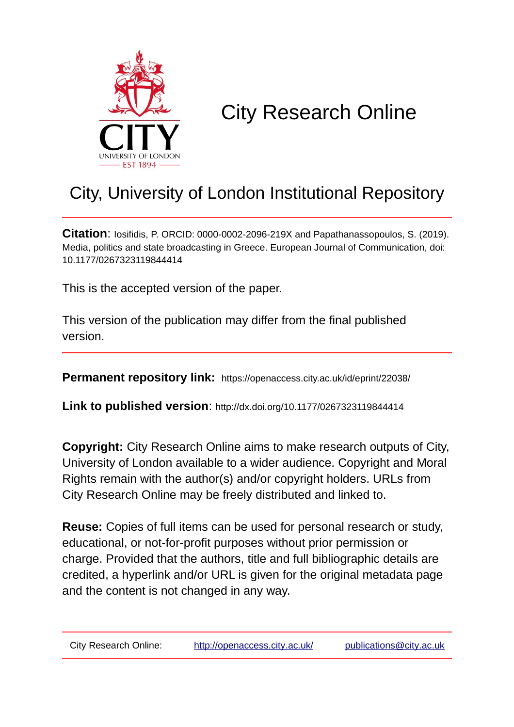

# City Research Online

## City, University of London Institutional Repository

**Citation**: Iosifidis, P. ORCID: 0000-0002-2096-219X and Papathanassopoulos, S. (2019). Media, politics and state broadcasting in Greece. European Journal of Communication, doi: 10.1177/0267323119844414

This is the accepted version of the paper.

This version of the publication may differ from the final published version.

**Permanent repository link:** https://openaccess.city.ac.uk/id/eprint/22038/

**Link to published version**: http://dx.doi.org/10.1177/0267323119844414

**Copyright:** City Research Online aims to make research outputs of City, University of London available to a wider audience. Copyright and Moral Rights remain with the author(s) and/or copyright holders. URLs from City Research Online may be freely distributed and linked to.

**Reuse:** Copies of full items can be used for personal research or study, educational, or not-for-profit purposes without prior permission or charge. Provided that the authors, title and full bibliographic details are credited, a hyperlink and/or URL is given for the original metadata page and the content is not changed in any way.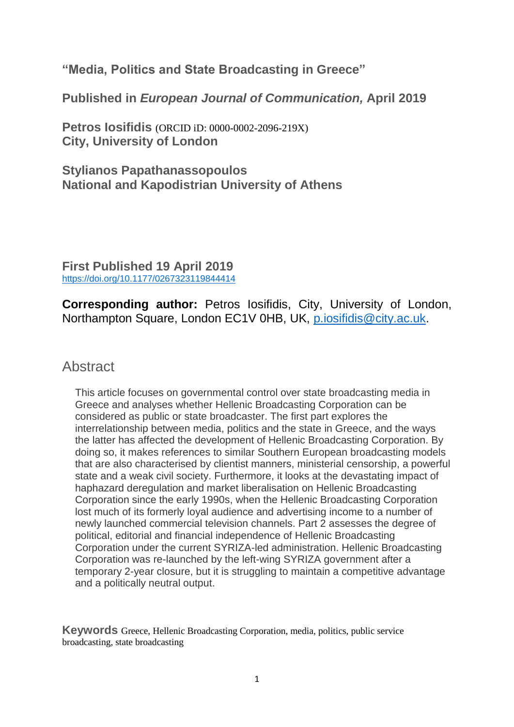**"Media, Politics and State Broadcasting in Greece"**

**Published in** *European Journal of Communication,* **April 2019**

**Petros Iosifidis** (ORCID iD: 0000-0002-2096-219X) **City, University of London**

**Stylianos Papathanassopoulos National and Kapodistrian University of Athens**

**First Published 19 April 201[9](https://crossmark.crossref.org/dialog?doi=10.1177/0267323119844414&domain=&uri_scheme=file:&cm_version=v2.0)** [https://doi.org/10.1177/0267323119844414](https://doi.org/10.1177%2F0267323119844414)

**Corresponding author:** Petros Iosifidis, City, University of London, Northampton Square, London EC1V 0HB, UK, [p.iosifidis@city.ac.uk.](mailto:p.iosifidis@city.ac.uk)

### **Abstract**

This article focuses on governmental control over state broadcasting media in Greece and analyses whether Hellenic Broadcasting Corporation can be considered as public or state broadcaster. The first part explores the interrelationship between media, politics and the state in Greece, and the ways the latter has affected the development of Hellenic Broadcasting Corporation. By doing so, it makes references to similar Southern European broadcasting models that are also characterised by clientist manners, ministerial censorship, a powerful state and a weak civil society. Furthermore, it looks at the devastating impact of haphazard deregulation and market liberalisation on Hellenic Broadcasting Corporation since the early 1990s, when the Hellenic Broadcasting Corporation lost much of its formerly loyal audience and advertising income to a number of newly launched commercial television channels. Part 2 assesses the degree of political, editorial and financial independence of Hellenic Broadcasting Corporation under the current SYRIZA-led administration. Hellenic Broadcasting Corporation was re-launched by the left-wing SYRIZA government after a temporary 2-year closure, but it is struggling to maintain a competitive advantage and a politically neutral output.

**Keywords** Greece, Hellenic Broadcasting Corporation, media, politics, public service broadcasting, state broadcasting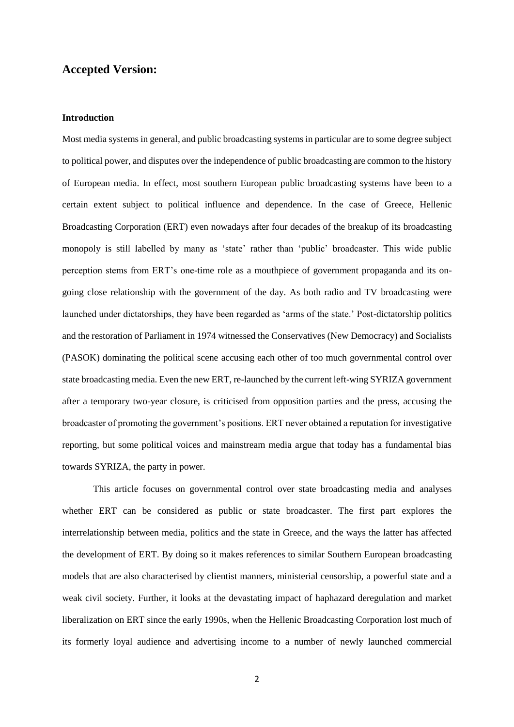#### **Accepted Version:**

#### **Introduction**

Most media systems in general, and public broadcasting systems in particular are to some degree subject to political power, and disputes over the independence of public broadcasting are common to the history of European media. In effect, most southern European public broadcasting systems have been to a certain extent subject to political influence and dependence. In the case of Greece, Hellenic Broadcasting Corporation (ERT) even nowadays after four decades of the breakup of its broadcasting monopoly is still labelled by many as 'state' rather than 'public' broadcaster. This wide public perception stems from ERT's one-time role as a mouthpiece of government propaganda and its ongoing close relationship with the government of the day. As both radio and TV broadcasting were launched under dictatorships, they have been regarded as 'arms of the state.' Post-dictatorship politics and the restoration of Parliament in 1974 witnessed the Conservatives (New Democracy) and Socialists (PASOK) dominating the political scene accusing each other of too much governmental control over state broadcasting media. Even the new ERT, re-launched by the current left-wing SYRIZA government after a temporary two-year closure, is criticised from opposition parties and the press, accusing the broadcaster of promoting the government's positions. ERT never obtained a reputation for investigative reporting, but some political voices and mainstream media argue that today has a fundamental bias towards SYRIZA, the party in power.

This article focuses on governmental control over state broadcasting media and analyses whether ERT can be considered as public or state broadcaster. The first part explores the interrelationship between media, politics and the state in Greece, and the ways the latter has affected the development of ERT. By doing so it makes references to similar Southern European broadcasting models that are also characterised by clientist manners, ministerial censorship, a powerful state and a weak civil society. Further, it looks at the devastating impact of haphazard deregulation and market liberalization on ERT since the early 1990s, when the Hellenic Broadcasting Corporation lost much of its formerly loyal audience and advertising income to a number of newly launched commercial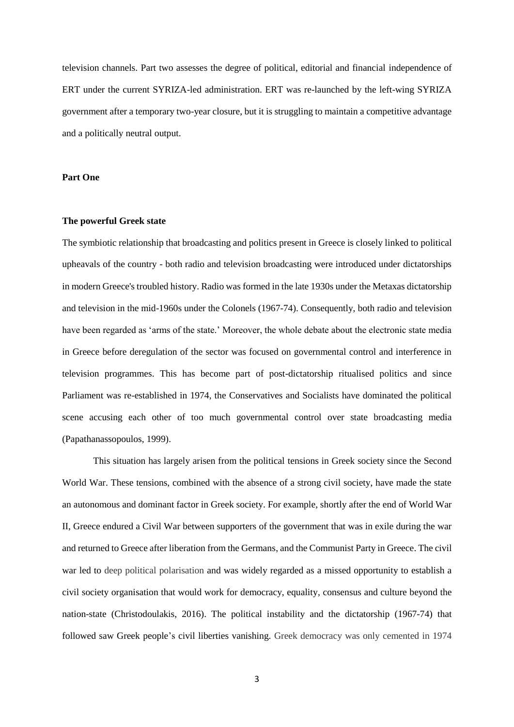television channels. Part two assesses the degree of political, editorial and financial independence of ERT under the current SYRIZA-led administration. ERT was re-launched by the left-wing SYRIZA government after a temporary two-year closure, but it is struggling to maintain a competitive advantage and a politically neutral output.

#### **Part One**

#### **The powerful Greek state**

The symbiotic relationship that broadcasting and politics present in Greece is closely linked to political upheavals of the country - both radio and television broadcasting were introduced under dictatorships in modern Greece's troubled history. Radio was formed in the late 1930s under the Metaxas dictatorship and television in the mid-1960s under the Colonels (1967-74). Consequently, both radio and television have been regarded as 'arms of the state.' Moreover, the whole debate about the electronic state media in Greece before deregulation of the sector was focused on governmental control and interference in television programmes. This has become part of post-dictatorship ritualised politics and since Parliament was re-established in 1974, the Conservatives and Socialists have dominated the political scene accusing each other of too much governmental control over state broadcasting media (Papathanassopoulos, 1999).

This situation has largely arisen from the political tensions in Greek society since the Second World War. These tensions, combined with the absence of a strong civil society, have made the state an autonomous and dominant factor in Greek society. For example, shortly after the end of World War II, Greece endured a Civil War between supporters of the government that was in exile during the war and returned to Greece after liberation from the Germans, and the Communist Party in Greece. The civil war led to deep political polarisation and was widely regarded as a missed opportunity to establish a civil society organisation that would work for democracy, equality, consensus and culture beyond the nation-state (Christodoulakis, 2016). The political instability and the dictatorship (1967-74) that followed saw Greek people's civil liberties vanishing. Greek democracy was only cemented in 1974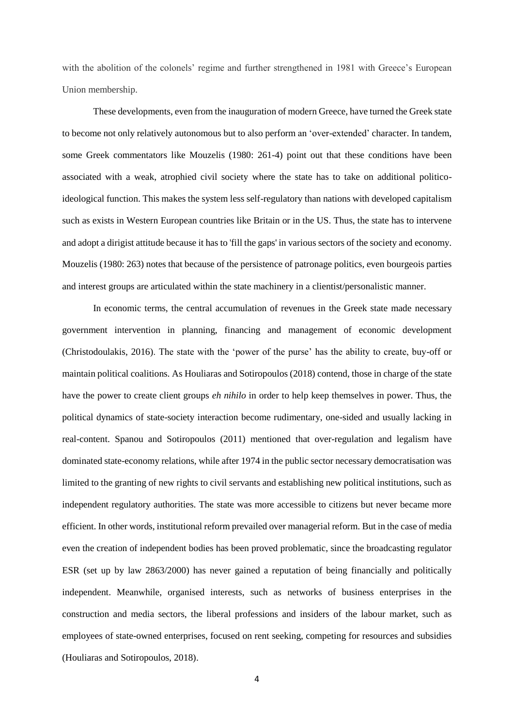with the abolition of the colonels' regime and further strengthened in 1981 with Greece's European Union membership.

These developments, even from the inauguration of modern Greece, have turned the Greek state to become not only relatively autonomous but to also perform an 'over-extended' character. In tandem, some Greek commentators like Mouzelis (1980: 261-4) point out that these conditions have been associated with a weak, atrophied civil society where the state has to take on additional politicoideological function. This makes the system less self-regulatory than nations with developed capitalism such as exists in Western European countries like Britain or in the US. Thus, the state has to intervene and adopt a dirigist attitude because it has to 'fill the gaps' in various sectors of the society and economy. Mouzelis (1980: 263) notes that because of the persistence of patronage politics, even bourgeois parties and interest groups are articulated within the state machinery in a clientist/personalistic manner.

In economic terms, the central accumulation of revenues in the Greek state made necessary government intervention in planning, financing and management of economic development (Christodoulakis, 2016). The state with the 'power of the purse' has the ability to create, buy-off or maintain political coalitions. As Houliaras and Sotiropoulos (2018) contend, those in charge of the state have the power to create client groups *eh nihilo* in order to help keep themselves in power. Thus, the political dynamics of state-society interaction become rudimentary, one-sided and usually lacking in real-content. Spanou and Sotiropoulos (2011) mentioned that over-regulation and legalism have dominated state-economy relations, while after 1974 in the public sector necessary democratisation was limited to the granting of new rights to civil servants and establishing new political institutions, such as independent regulatory authorities. The state was more accessible to citizens but never became more efficient. In other words, institutional reform prevailed over managerial reform. But in the case of media even the creation of independent bodies has been proved problematic, since the broadcasting regulator ESR (set up by law 2863/2000) has never gained a reputation of being financially and politically independent. Meanwhile, organised interests, such as networks of business enterprises in the construction and media sectors, the liberal professions and insiders of the labour market, such as employees of state-owned enterprises, focused on rent seeking, competing for resources and subsidies (Houliaras and Sotiropoulos, 2018).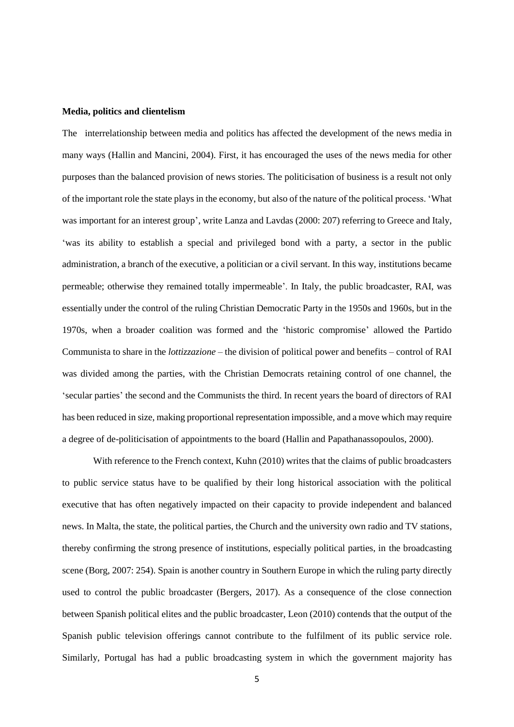#### **Media, politics and clientelism**

The interrelationship between media and politics has affected the development of the news media in many ways (Hallin and Mancini, 2004). First, it has encouraged the uses of the news media for other purposes than the balanced provision of news stories. The politicisation of business is a result not only of the important role the state plays in the economy, but also of the nature of the political process. 'What was important for an interest group', write Lanza and Lavdas (2000: 207) referring to Greece and Italy, 'was its ability to establish a special and privileged bond with a party, a sector in the public administration, a branch of the executive, a politician or a civil servant. In this way, institutions became permeable; otherwise they remained totally impermeable'. In Italy, the public broadcaster, RAI, was essentially under the control of the ruling Christian Democratic Party in the 1950s and 1960s, but in the 1970s, when a broader coalition was formed and the 'historic compromise' allowed the Partido Communista to share in the *lottizzazione* – the division of political power and benefits – control of RAI was divided among the parties, with the Christian Democrats retaining control of one channel, the 'secular parties' the second and the Communists the third. In recent years the board of directors of RAI has been reduced in size, making proportional representation impossible, and a move which may require a degree of de-politicisation of appointments to the board (Hallin and Papathanassopoulos, 2000).

With reference to the French context, Kuhn (2010) writes that the claims of public broadcasters to public service status have to be qualified by their long historical association with the political executive that has often negatively impacted on their capacity to provide independent and balanced news. In Malta, the state, the political parties, the Church and the university own radio and TV stations, thereby confirming the strong presence of institutions, especially political parties, in the broadcasting scene (Borg, 2007: 254). Spain is another country in Southern Europe in which the ruling party directly used to control the public broadcaster (Bergers, 2017). As a consequence of the close connection between Spanish political elites and the public broadcaster, Leon (2010) contends that the output of the Spanish public television offerings cannot contribute to the fulfilment of its public service role. Similarly, Portugal has had a public broadcasting system in which the government majority has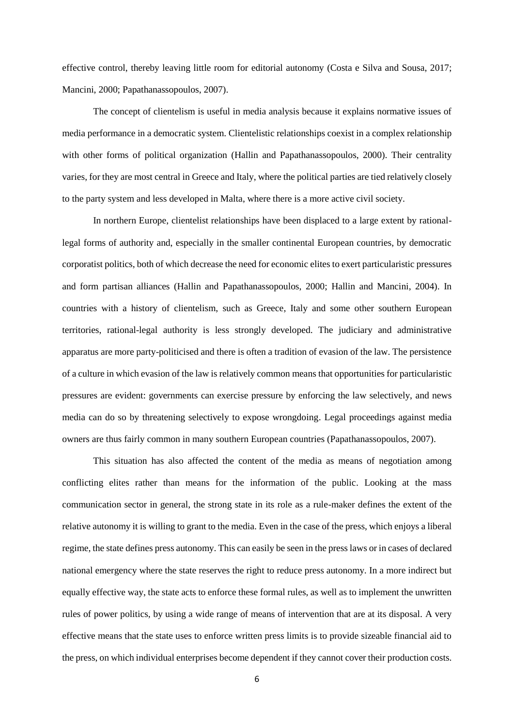effective control, thereby leaving little room for editorial autonomy (Costa e Silva and Sousa, 2017; Mancini, 2000; Papathanassopoulos, 2007).

The concept of clientelism is useful in media analysis because it explains normative issues of media performance in a democratic system. Clientelistic relationships coexist in a complex relationship with other forms of political organization (Hallin and Papathanassopoulos, 2000). Their centrality varies, for they are most central in Greece and Italy, where the political parties are tied relatively closely to the party system and less developed in Malta, where there is a more active civil society.

In northern Europe, clientelist relationships have been displaced to a large extent by rationallegal forms of authority and, especially in the smaller continental European countries, by democratic corporatist politics, both of which decrease the need for economic elites to exert particularistic pressures and form partisan alliances (Hallin and Papathanassopoulos, 2000; Hallin and Mancini, 2004). In countries with a history of clientelism, such as Greece, Italy and some other southern European territories, rational-legal authority is less strongly developed. The judiciary and administrative apparatus are more party-politicised and there is often a tradition of evasion of the law. The persistence of a culture in which evasion of the law is relatively common means that opportunities for particularistic pressures are evident: governments can exercise pressure by enforcing the law selectively, and news media can do so by threatening selectively to expose wrongdoing. Legal proceedings against media owners are thus fairly common in many southern European countries (Papathanassopoulos, 2007).

This situation has also affected the content of the media as means of negotiation among conflicting elites rather than means for the information of the public. Looking at the mass communication sector in general, the strong state in its role as a rule-maker defines the extent of the relative autonomy it is willing to grant to the media. Even in the case of the press, which enjoys a liberal regime, the state defines press autonomy. This can easily be seen in the press laws or in cases of declared national emergency where the state reserves the right to reduce press autonomy. In a more indirect but equally effective way, the state acts to enforce these formal rules, as well as to implement the unwritten rules of power politics, by using a wide range of means of intervention that are at its disposal. A very effective means that the state uses to enforce written press limits is to provide sizeable financial aid to the press, on which individual enterprises become dependent if they cannot cover their production costs.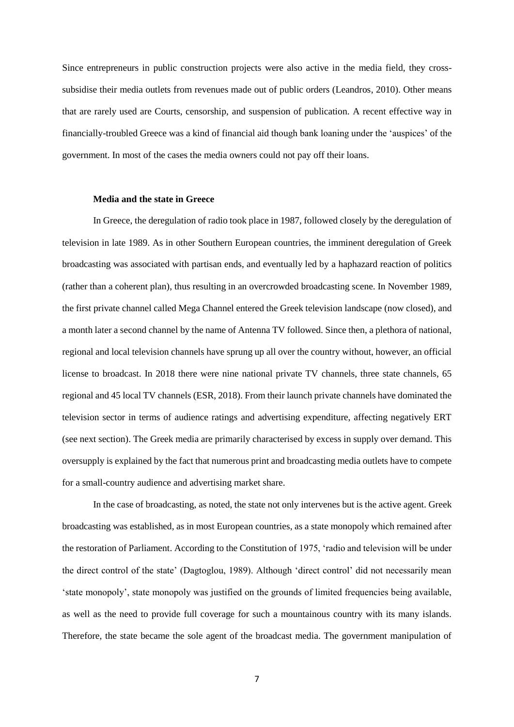Since entrepreneurs in public construction projects were also active in the media field, they crosssubsidise their media outlets from revenues made out of public orders (Leandros, 2010). Other means that are rarely used are Courts, censorship, and suspension of publication. A recent effective way in financially-troubled Greece was a kind of financial aid though bank loaning under the 'auspices' of the government. In most of the cases the media owners could not pay off their loans.

#### **Media and the state in Greece**

In Greece, the deregulation of radio took place in 1987, followed closely by the deregulation of television in late 1989. As in other Southern European countries, the imminent deregulation of Greek broadcasting was associated with partisan ends, and eventually led by a haphazard reaction of politics (rather than a coherent plan), thus resulting in an overcrowded broadcasting scene. In November 1989, the first private channel called Mega Channel entered the Greek television landscape (now closed), and a month later a second channel by the name of Antenna TV followed. Since then, a plethora of national, regional and local television channels have sprung up all over the country without, however, an official license to broadcast. Ιn 2018 there were nine national private TV channels, three state channels, 65 regional and 45 local TV channels (ESR, 2018). From their launch private channels have dominated the television sector in terms of audience ratings and advertising expenditure, affecting negatively ERT (see next section). The Greek media are primarily characterised by excess in supply over demand. This oversupply is explained by the fact that numerous print and broadcasting media outlets have to compete for a small-country audience and advertising market share.

In the case of broadcasting, as noted, the state not only intervenes but is the active agent. Greek broadcasting was established, as in most European countries, as a state monopoly which remained after the restoration of Parliament. According to the Constitution of 1975, 'radio and television will be under the direct control of the state' (Dagtoglou, 1989). Although 'direct control' did not necessarily mean 'state monopoly', state monopoly was justified on the grounds of limited frequencies being available, as well as the need to provide full coverage for such a mountainous country with its many islands. Therefore, the state became the sole agent of the broadcast media. The government manipulation of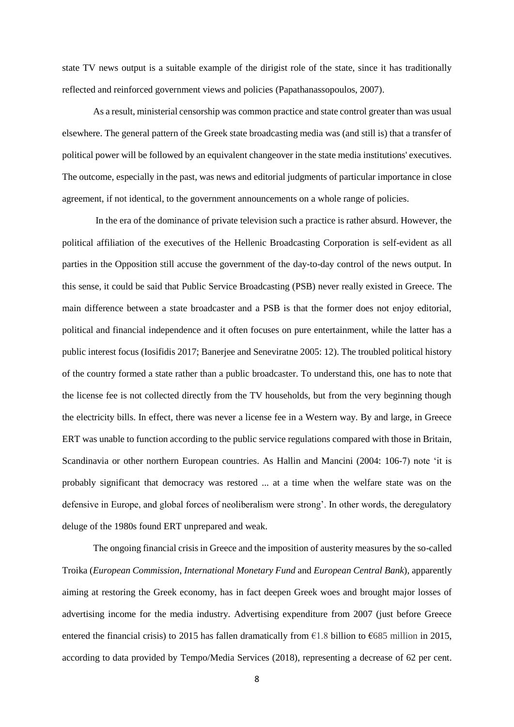state TV news output is a suitable example of the dirigist role of the state, since it has traditionally reflected and reinforced government views and policies (Papathanassopoulos, 2007).

As a result, ministerial censorship was common practice and state control greater than was usual elsewhere. The general pattern of the Greek state broadcasting media was (and still is) that a transfer of political power will be followed by an equivalent changeover in the state media institutions' executives. The outcome, especially in the past, was news and editorial judgments of particular importance in close agreement, if not identical, to the government announcements on a whole range of policies.

In the era of the dominance of private television such a practice is rather absurd. However, the political affiliation of the executives of the Hellenic Broadcasting Corporation is self-evident as all parties in the Opposition still accuse the government of the day-to-day control of the news output. In this sense, it could be said that Public Service Broadcasting (PSB) never really existed in Greece. The main difference between a state broadcaster and a PSB is that the former does not enjoy editorial, political and financial independence and it often focuses on pure entertainment, while the latter has a public interest focus (Iosifidis 2017; Banerjee and Seneviratne 2005: 12). The troubled political history of the country formed a state rather than a public broadcaster. To understand this, one has to note that the license fee is not collected directly from the TV households, but from the very beginning though the electricity bills. In effect, there was never a license fee in a Western way. By and large, in Greece ERT was unable to function according to the public service regulations compared with those in Britain, Scandinavia or other northern European countries. As Hallin and Mancini (2004: 106-7) note 'it is probably significant that democracy was restored ... at a time when the welfare state was on the defensive in Europe, and global forces of neoliberalism were strong'. In other words, the deregulatory deluge of the 1980s found ERT unprepared and weak.

The ongoing financial crisis in Greece and the imposition of austerity measures by the so-called Troika (*European Commission*, *International Monetary Fund* and *European Central Bank*), apparently aiming at restoring the Greek economy, has in fact deepen Greek woes and brought major losses of advertising income for the media industry. Advertising expenditure from 2007 (just before Greece entered the financial crisis) to 2015 has fallen dramatically from  $\epsilon$ 1.8 billion to  $\epsilon$ 685 million in 2015, according to data provided by Tempo/Media Services (2018), representing a decrease of 62 per cent.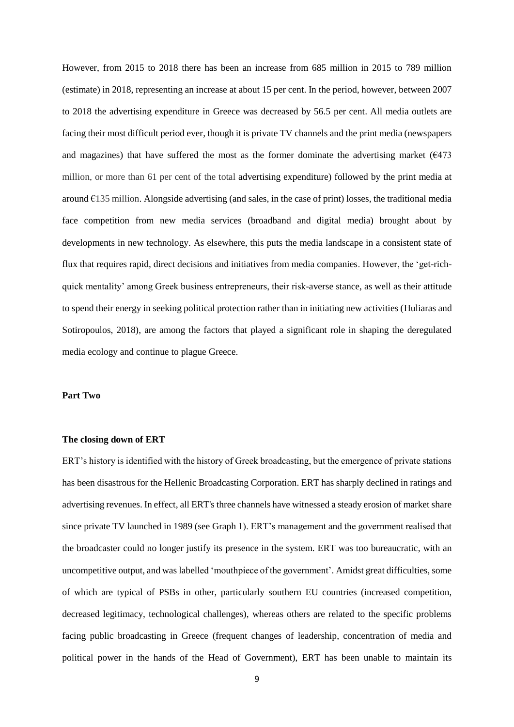However, from 2015 to 2018 there has been an increase from 685 million in 2015 to 789 million (estimate) in 2018, representing an increase at about 15 per cent. In the period, however, between 2007 to 2018 the advertising expenditure in Greece was decreased by 56.5 per cent. All media outlets are facing their most difficult period ever, though it is private TV channels and the print media (newspapers and magazines) that have suffered the most as the former dominate the advertising market  $(6473)$ million, or more than 61 per cent of the total advertising expenditure) followed by the print media at around  $E135$  million. Alongside advertising (and sales, in the case of print) losses, the traditional media face competition from new media services (broadband and digital media) brought about by developments in new technology. As elsewhere, this puts the media landscape in a consistent state of flux that requires rapid, direct decisions and initiatives from media companies. However, the 'get-richquick mentality' among Greek business entrepreneurs, their risk-averse stance, as well as their attitude to spend their energy in seeking political protection rather than in initiating new activities (Huliaras and Sotiropoulos, 2018), are among the factors that played a significant role in shaping the deregulated media ecology and continue to plague Greece.

#### **Part Two**

#### **The closing down of ERT**

ERT's history is identified with the history of Greek broadcasting, but the emergence of private stations has been disastrous for the Hellenic Broadcasting Corporation. ERT has sharply declined in ratings and advertising revenues. In effect, all ERT's three channels have witnessed a steady erosion of market share since private TV launched in 1989 (see Graph 1). ERT's management and the government realised that the broadcaster could no longer justify its presence in the system. ERT was too bureaucratic, with an uncompetitive output, and was labelled 'mouthpiece of the government'. Amidst great difficulties, some of which are typical of PSBs in other, particularly southern EU countries (increased competition, decreased legitimacy, technological challenges), whereas others are related to the specific problems facing public broadcasting in Greece (frequent changes of leadership, concentration of media and political power in the hands of the Head of Government), ERT has been unable to maintain its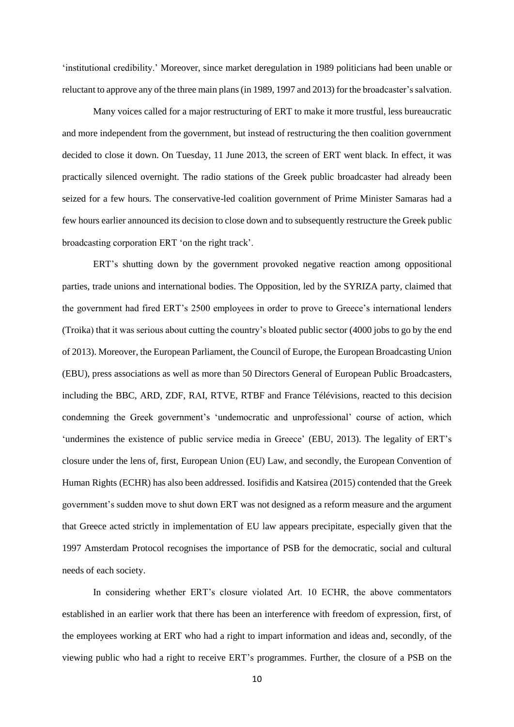'institutional credibility.' Moreover, since market deregulation in 1989 politicians had been unable or reluctant to approve any of the three main plans (in 1989, 1997 and 2013) for the broadcaster's salvation.

Many voices called for a major restructuring of ERT to make it more trustful, less bureaucratic and more independent from the government, but instead of restructuring the then coalition government decided to close it down. On Tuesday, 11 June 2013, the screen of ERT went black. In effect, it was practically silenced overnight. The radio stations of the Greek public broadcaster had already been seized for a few hours. The conservative-led coalition government of Prime Minister Samaras had a few hours earlier announced its decision to close down and to subsequently restructure the Greek public broadcasting corporation ERT 'on the right track'.

ERT's shutting down by the government provoked negative reaction among oppositional parties, trade unions and international bodies. The Opposition, led by the SYRIZA party, claimed that the government had fired ERT's 2500 employees in order to prove to Greece's international lenders (Troika) that it was serious about cutting the country's bloated public sector (4000 jobs to go by the end of 2013). Moreover, the European Parliament, the Council of Europe, the European Broadcasting Union (EBU), press associations as well as more than 50 Directors General of European Public Broadcasters, including the BBC, ARD, ZDF, RΑΙ, RTVE, RTBF and France Télévisions, reacted to this decision condemning the Greek government's 'undemocratic and unprofessional' course of action, which 'undermines the existence of public service media in Greece' (EBU, 2013). The legality of ERT's closure under the lens of, first, European Union (EU) Law, and secondly, the European Convention of Human Rights (ECHR) has also been addressed. Iosifidis and Katsirea (2015) contended that the Greek government's sudden move to shut down ERT was not designed as a reform measure and the argument that Greece acted strictly in implementation of EU law appears precipitate, especially given that the 1997 Amsterdam Protocol recognises the importance of PSB for the democratic, social and cultural needs of each society.

In considering whether ERT's closure violated Art. 10 ECHR, the above commentators established in an earlier work that there has been an interference with freedom of expression, first, of the employees working at ERT who had a right to impart information and ideas and, secondly, of the viewing public who had a right to receive ERT's programmes. Further, the closure of a PSB on the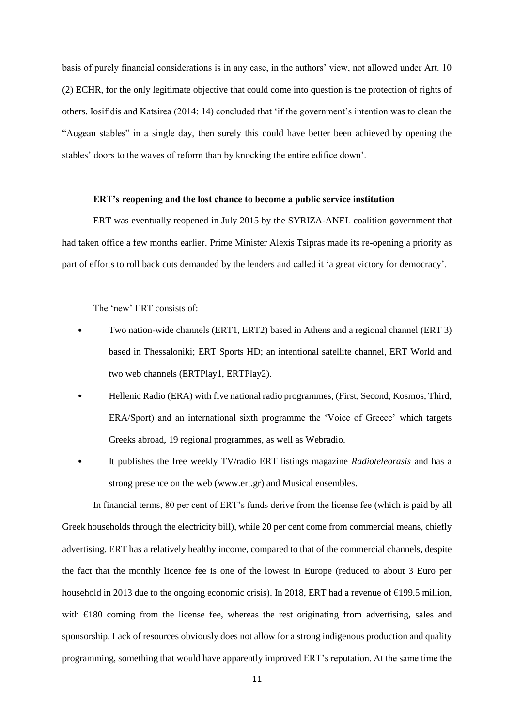basis of purely financial considerations is in any case, in the authors' view, not allowed under Art. 10 (2) ECHR, for the only legitimate objective that could come into question is the protection of rights of others. Iosifidis and Katsirea (2014: 14) concluded that 'if the government's intention was to clean the "Augean stables" in a single day, then surely this could have better been achieved by opening the stables' doors to the waves of reform than by knocking the entire edifice down'.

#### **ERT's reopening and the lost chance to become a public service institution**

ERT was eventually reopened in July 2015 by the SYRIZA-ANEL coalition government that had taken office a few months earlier. Prime Minister Alexis Tsipras made its re-opening a priority as part of efforts to roll back cuts demanded by the lenders and called it 'a great victory for democracy'.

The 'new' ERT consists of:

- Two nation-wide channels (ERT1, ERT2) based in Athens and a regional channel (ERT 3) based in Thessaloniki; ERT Sports HD; an intentional satellite channel, ERT World and two web channels (ERTPlay1, ERTPlay2).
- Hellenic Radio (ERA) with five national radio programmes, (First, Second, Kosmos, Third, ERA/Sport) and an international sixth programme the 'Voice of Greece' which targets Greeks abroad, 19 regional programmes, as well as Webradio.
- It publishes the free weekly TV/radio ERT listings magazine *Radioteleorasis* and has a strong presence on the web (www.ert.gr) and Musical ensembles.

In financial terms, 80 per cent of ERT's funds derive from the license fee (which is paid by all Greek households through the electricity bill), while 20 per cent come from commercial means, chiefly advertising. ERT has a relatively healthy income, compared to that of the commercial channels, despite the fact that the monthly licence fee is one of the lowest in Europe (reduced to about 3 Euro per household in 2013 due to the ongoing economic crisis). In 2018, ERT had a revenue of  $\epsilon$ 199.5 million, with  $\epsilon$ 180 coming from the license fee, whereas the rest originating from advertising, sales and sponsorship. Lack of resources obviously does not allow for a strong indigenous production and quality programming, something that would have apparently improved ERT's reputation. At the same time the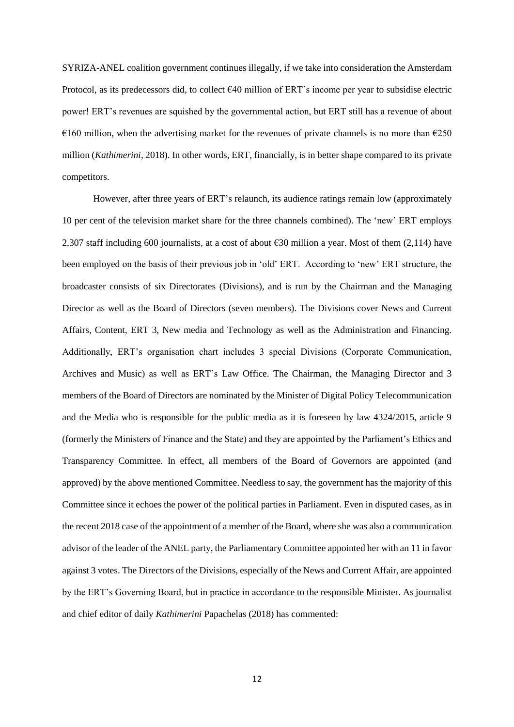SYRIZA-ANEL coalition government continues illegally, if we take into consideration the Amsterdam Protocol, as its predecessors did, to collect  $640$  million of ERT's income per year to subsidise electric power! ERT's revenues are squished by the governmental action, but ERT still has a revenue of about  $\epsilon$ 160 million, when the advertising market for the revenues of private channels is no more than  $\epsilon$ 250 million (*Kathimerini*, 2018). In other words, ERT, financially, is in better shape compared to its private competitors.

However, after three years of ERT's relaunch, its audience ratings remain low (approximately 10 per cent of the television market share for the three channels combined). The 'new' ERT employs 2,307 staff including 600 journalists, at a cost of about €30 million a year. Most of them (2,114) have been employed on the basis of their previous job in 'old' ERT. According to 'new' ERT structure, the broadcaster consists of six Directorates (Divisions), and is run by the Chairman and the Managing Director as well as the Board of Directors (seven members). The Divisions cover News and Current Affairs, Content, ERT 3, New media and Technology as well as the Administration and Financing. Additionally, ERT's organisation chart includes 3 special Divisions (Corporate Communication, Archives and Music) as well as ERT's Law Office. The Chairman, the Managing Director and 3 members of the Board of Directors are nominated by the Minister of Digital Policy Telecommunication and the Media who is responsible for the public media as it is foreseen by law 4324/2015, article 9 (formerly the Ministers of Finance and the State) and they are appointed by the Parliament's Ethics and Transparency Committee. In effect, all members of the Board of Governors are appointed (and approved) by the above mentioned Committee. Needless to say, the government has the majority of this Committee since it echoes the power of the political parties in Parliament. Even in disputed cases, as in the recent 2018 case of the appointment of a member of the Board, where she was also a communication advisor of the leader of the ANEL party, the Parliamentary Committee appointed her with an 11 in favor against 3 votes. The Directors of the Divisions, especially of the News and Current Affair, are appointed by the ERT's Governing Board, but in practice in accordance to the responsible Minister. As journalist and chief editor of daily *Kathimerini* Papachelas (2018) has commented: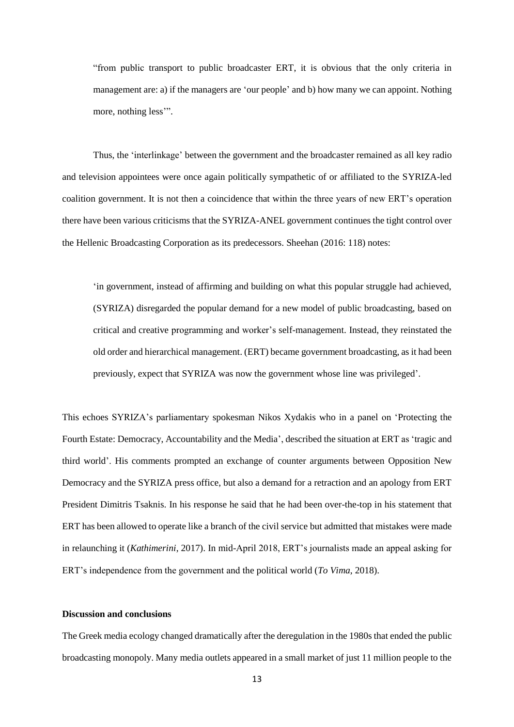"from public transport to public broadcaster ERT, it is obvious that the only criteria in management are: a) if the managers are 'our people' and b) how many we can appoint. Nothing more, nothing less'".

Thus, the 'interlinkage' between the government and the broadcaster remained as all key radio and television appointees were once again politically sympathetic of or affiliated to the SYRIZA-led coalition government. It is not then a coincidence that within the three years of new ERT's operation there have been various criticisms that the SYRIZA-ANEL government continues the tight control over the Hellenic Broadcasting Corporation as its predecessors. Sheehan (2016: 118) notes:

'in government, instead of affirming and building on what this popular struggle had achieved, (SYRIZA) disregarded the popular demand for a new model of public broadcasting, based on critical and creative programming and worker's self-management. Instead, they reinstated the old order and hierarchical management. (ERT) became government broadcasting, as it had been previously, expect that SYRIZA was now the government whose line was privileged'.

This echoes SYRIZA's parliamentary spokesman Nikos Xydakis who in a panel on 'Protecting the Fourth Estate: Democracy, Accountability and the Media', described the situation at ERT as 'tragic and third world'. His comments prompted an exchange of counter arguments between Opposition New Democracy and the SYRIZA press office, but also a demand for a retraction and an apology from ERT President Dimitris Tsaknis. In his response he said that he had been over-the-top in his statement that ERT has been allowed to operate like a branch of the civil service but admitted that mistakes were made in relaunching it (*Kathimerini*, 2017). In mid-April 2018, ERT's journalists made an appeal asking for ERT's independence from the government and the political world (*To Vima*, 2018).

#### **Discussion and conclusions**

The Greek media ecology changed dramatically after the deregulation in the 1980s that ended the public broadcasting monopoly. Many media outlets appeared in a small market of just 11 million people to the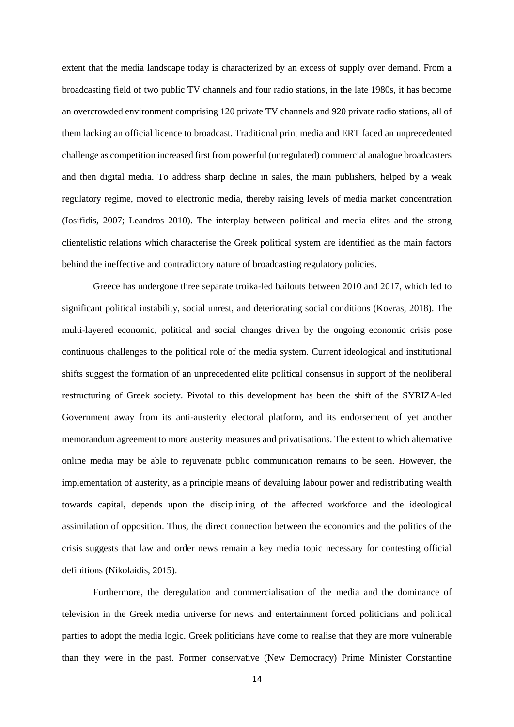extent that the media landscape today is characterized by an excess of supply over demand. From a broadcasting field of two public TV channels and four radio stations, in the late 1980s, it has become an overcrowded environment comprising 120 private TV channels and 920 private radio stations, all of them lacking an official licence to broadcast. Traditional print media and ERT faced an unprecedented challenge as competition increased first from powerful (unregulated) commercial analogue broadcasters and then digital media. To address sharp decline in sales, the main publishers, helped by a weak regulatory regime, moved to electronic media, thereby raising levels of media market concentration (Iosifidis, 2007; Leandros 2010). The interplay between political and media elites and the strong clientelistic relations which characterise the Greek political system are identified as the main factors behind the ineffective and contradictory nature of broadcasting regulatory policies.

Greece has undergone three separate troika-led bailouts between 2010 and 2017, which led to significant political instability, social unrest, and deteriorating social conditions (Kovras, 2018). The multi-layered economic, political and social changes driven by the ongoing economic crisis pose continuous challenges to the political role of the media system. Current ideological and institutional shifts suggest the formation of an unprecedented elite political consensus in support of the neoliberal restructuring of Greek society. Pivotal to this development has been the shift of the SYRIZA-led Government away from its anti-austerity electoral platform, and its endorsement of yet another memorandum agreement to more austerity measures and privatisations. The extent to which alternative online media may be able to rejuvenate public communication remains to be seen. However, the implementation of austerity, as a principle means of devaluing labour power and redistributing wealth towards capital, depends upon the disciplining of the affected workforce and the ideological assimilation of opposition. Thus, the direct connection between the economics and the politics of the crisis suggests that law and order news remain a key media topic necessary for contesting official definitions (Nikolaidis, 2015).

Furthermore, the deregulation and commercialisation of the media and the dominance of television in the Greek media universe for news and entertainment forced politicians and political parties to adopt the media logic. Greek politicians have come to realise that they are more vulnerable than they were in the past. Former conservative (New Democracy) Prime Minister Constantine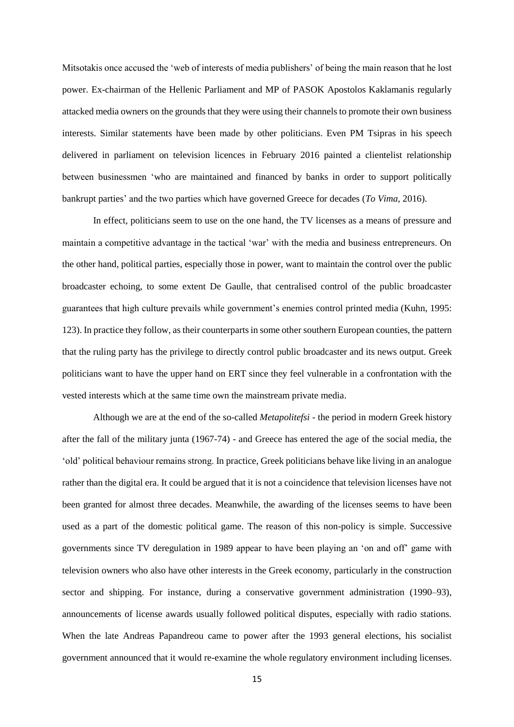Mitsotakis once accused the 'web of interests of media publishers' of being the main reason that he lost power. Ex-chairman of the Hellenic Parliament and MP of PASOK Apostolos Kaklamanis regularly attacked media owners on the grounds that they were using their channels to promote their own business interests. Similar statements have been made by other politicians. Even PM Tsipras in his speech delivered in parliament on television licences in February 2016 painted a clientelist relationship between businessmen 'who are maintained and financed by banks in order to support politically bankrupt parties' and the two parties which have governed Greece for decades (*To Vima*, 2016).

In effect, politicians seem to use on the one hand, the TV licenses as a means of pressure and maintain a competitive advantage in the tactical 'war' with the media and business entrepreneurs. On the other hand, political parties, especially those in power, want to maintain the control over the public broadcaster echoing, to some extent De Gaulle, that centralised control of the public broadcaster guarantees that high culture prevails while government's enemies control printed media (Kuhn, 1995: 123). In practice they follow, as their counterparts in some other southern European counties, the pattern that the ruling party has the privilege to directly control public broadcaster and its news output. Greek politicians want to have the upper hand on ERT since they feel vulnerable in a confrontation with the vested interests which at the same time own the mainstream private media.

Although we are at the end of the so-called *Metapolitefsi* - the period in modern Greek history after the fall of the military junta (1967-74) - and Greece has entered the age of the social media, the 'old' political behaviour remains strong. In practice, Greek politicians behave like living in an analogue rather than the digital era. It could be argued that it is not a coincidence that television licenses have not been granted for almost three decades. Meanwhile, the awarding of the licenses seems to have been used as a part of the domestic political game. The reason of this non-policy is simple. Successive governments since TV deregulation in 1989 appear to have been playing an 'on and off' game with television owners who also have other interests in the Greek economy, particularly in the construction sector and shipping. For instance, during a conservative government administration (1990–93), announcements of license awards usually followed political disputes, especially with radio stations. When the late Andreas Papandreou came to power after the 1993 general elections, his socialist government announced that it would re-examine the whole regulatory environment including licenses.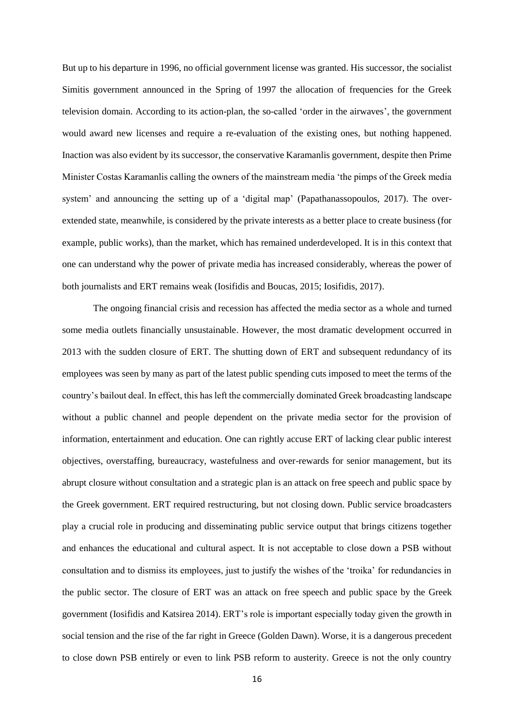But up to his departure in 1996, no official government license was granted. His successor, the socialist Simitis government announced in the Spring of 1997 the allocation of frequencies for the Greek television domain. According to its action-plan, the so-called 'order in the airwaves', the government would award new licenses and require a re-evaluation of the existing ones, but nothing happened. Inaction was also evident by its successor, the conservative Karamanlis government, despite then Prime Minister Costas Karamanlis calling the owners of the mainstream media 'the pimps of the Greek media system' and announcing the setting up of a 'digital map' (Papathanassopoulos, 2017). The overextended state, meanwhile, is considered by the private interests as a better place to create business (for example, public works), than the market, which has remained underdeveloped. It is in this context that one can understand why the power of private media has increased considerably, whereas the power of both journalists and ERT remains weak (Iosifidis and Boucas, 2015; Iosifidis, 2017).

The ongoing financial crisis and recession has affected the media sector as a whole and turned some media outlets financially unsustainable. However, the most dramatic development occurred in 2013 with the sudden closure of ERT. The shutting down of ERT and subsequent redundancy of its employees was seen by many as part of the latest public spending cuts imposed to meet the terms of the country's bailout deal. In effect, this has left the commercially dominated Greek broadcasting landscape without a public channel and people dependent on the private media sector for the provision of information, entertainment and education. One can rightly accuse ERT of lacking clear public interest objectives, overstaffing, bureaucracy, wastefulness and over-rewards for senior management, but its abrupt closure without consultation and a strategic plan is an attack on free speech and public space by the Greek government. ERT required restructuring, but not closing down. Public service broadcasters play a crucial role in producing and disseminating public service output that brings citizens together and enhances the educational and cultural aspect. It is not acceptable to close down a PSB without consultation and to dismiss its employees, just to justify the wishes of the 'troika' for redundancies in the public sector. The closure of ERT was an attack on free speech and public space by the Greek government (Iosifidis and Katsirea 2014). ERT's role is important especially today given the growth in social tension and the rise of the far right in Greece (Golden Dawn). Worse, it is a dangerous precedent to close down PSB entirely or even to link PSB reform to austerity. Greece is not the only country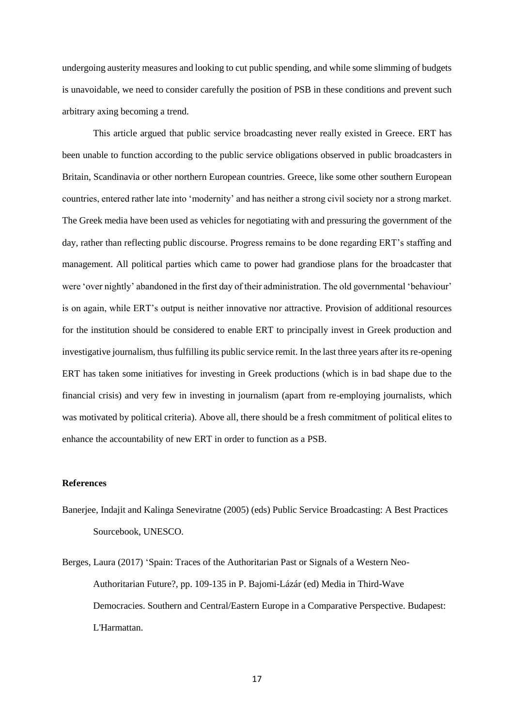undergoing austerity measures and looking to cut public spending, and while some slimming of budgets is unavoidable, we need to consider carefully the position of PSB in these conditions and prevent such arbitrary axing becoming a trend.

This article argued that public service broadcasting never really existed in Greece. ERT has been unable to function according to the public service obligations observed in public broadcasters in Britain, Scandinavia or other northern European countries. Greece, like some other southern European countries, entered rather late into 'modernity' and has neither a strong civil society nor a strong market. The Greek media have been used as vehicles for negotiating with and pressuring the government of the day, rather than reflecting public discourse. Progress remains to be done regarding ERT's staffing and management. All political parties which came to power had grandiose plans for the broadcaster that were 'over nightly' abandoned in the first day of their administration. The old governmental 'behaviour' is on again, while ERT's output is neither innovative nor attractive. Provision of additional resources for the institution should be considered to enable ERT to principally invest in Greek production and investigative journalism, thus fulfilling its public service remit. In the last three years after its re-opening ERT has taken some initiatives for investing in Greek productions (which is in bad shape due to the financial crisis) and very few in investing in journalism (apart from re-employing journalists, which was motivated by political criteria). Above all, there should be a fresh commitment of political elites to enhance the accountability of new ERT in order to function as a PSB.

#### **References**

- Banerjee, Indajit and Kalinga Seneviratne (2005) (eds) Public Service Broadcasting: A Best Practices Sourcebook, UNESCO.
- Berges, Laura (2017) 'Spain: Traces of the Authoritarian Past or Signals of a Western Neo-Authoritarian Future?, pp. 109-135 in P. Bajomi-Lázár (ed) Media in Third-Wave Democracies. Southern and Central/Eastern Europe in a Comparative Perspective. Budapest: L'Harmattan.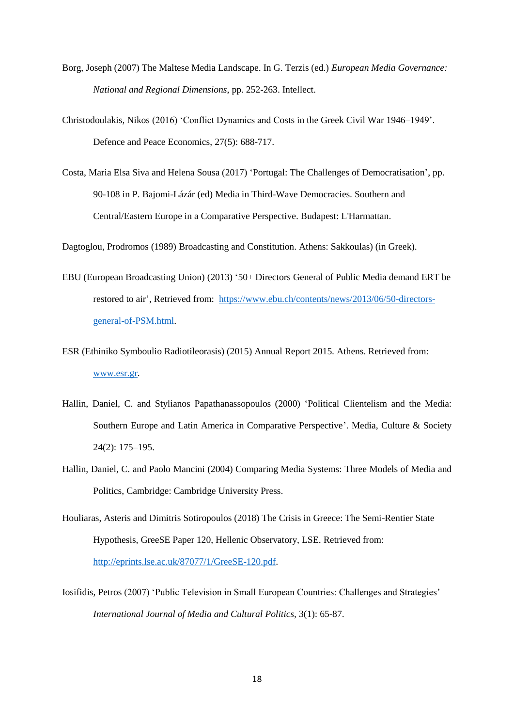- Borg, Joseph (2007) The Maltese Media Landscape. In G. Terzis (ed.) *European Media Governance: National and Regional Dimensions*, pp. 252-263. Intellect.
- Christodoulakis, Nikos (2016) 'Conflict Dynamics and Costs in the Greek Civil War 1946–1949'. Defence and Peace Economics, 27(5): 688-717.
- Costa, Maria Elsa Siva and Helena Sousa (2017) 'Portugal: The Challenges of Democratisation', pp. 90-108 in P. Bajomi-Lázár (ed) Media in Third-Wave Democracies. Southern and Central/Eastern Europe in a Comparative Perspective. Budapest: L'Harmattan.

Dagtoglou, Prodromos (1989) Broadcasting and Constitution. Athens: Sakkoulas) (in Greek).

- EBU (European Broadcasting Union) (2013) '50+ Directors General of Public Media demand ERT be restored to air', Retrieved from: [https://www.ebu.ch/contents/news/2013/06/50-directors](https://www.ebu.ch/contents/news/2013/06/50-directors-general-of-PSM.html)[general-of-PSM.html.](https://www.ebu.ch/contents/news/2013/06/50-directors-general-of-PSM.html)
- ESR (Ethiniko Symboulio Radiotileorasis) (2015) Annual Report 2015. Athens. Retrieved from: [www.esr.gr.](http://www.esr.gr/)
- Hallin, Daniel, C. and Stylianos Papathanassopoulos (2000) 'Political Clientelism and the Media: Southern Europe and Latin America in Comparative Perspective'. Media, Culture & Society 24(2): 175–195.
- Hallin, Daniel, C. and Paolo Mancini (2004) Comparing Media Systems: Three Models of Media and Politics, Cambridge: Cambridge University Press.
- Houliaras, Asteris and Dimitris Sotiropoulos (2018) The Crisis in Greece: The Semi-Rentier State Hypothesis, GreeSE Paper 120, Hellenic Observatory, LSE. Retrieved from: [http://eprints.lse.ac.uk/87077/1/GreeSE-120.pdf.](http://eprints.lse.ac.uk/87077/1/GreeSE-120.pdf)
- Iosifidis, Petros (2007) 'Public Television in Small European Countries: Challenges and Strategies' *International Journal of Media and Cultural Politics,* 3(1): 65-87.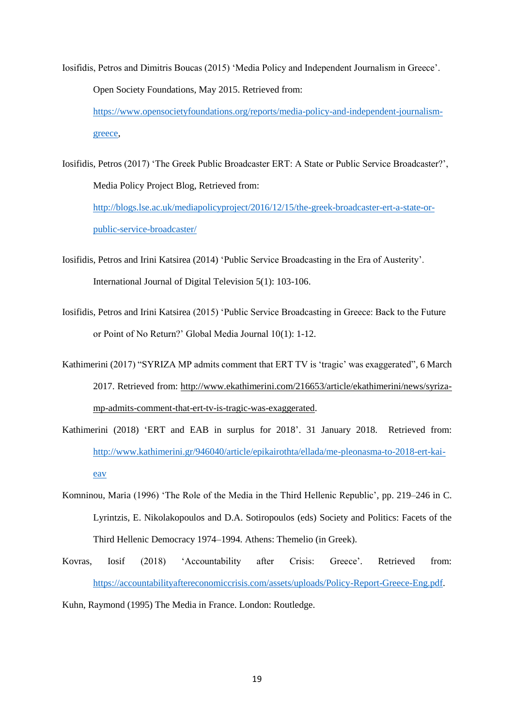- Iosifidis, Petros and Dimitris Boucas (2015) 'Media Policy and Independent Journalism in Greece'. Open Society Foundations, May 2015. Retrieved from: [https://www.opensocietyfoundations.org/reports/media-policy-and-independent-journalism](https://www.opensocietyfoundations.org/reports/media-policy-and-independent-journalism-greece)[greece,](https://www.opensocietyfoundations.org/reports/media-policy-and-independent-journalism-greece)
- Iosifidis, Petros (2017) 'The Greek Public Broadcaster ERT: A State or Public Service Broadcaster?', Media Policy Project Blog, Retrieved from: [http://blogs.lse.ac.uk/mediapolicyproject/2016/12/15/the-greek-broadcaster-ert-a-state-or](http://blogs.lse.ac.uk/mediapolicyproject/2016/12/15/the-greek-broadcaster-ert-a-state-or-public-service-broadcaster/)[public-service-broadcaster/](http://blogs.lse.ac.uk/mediapolicyproject/2016/12/15/the-greek-broadcaster-ert-a-state-or-public-service-broadcaster/)
- Iosifidis, Petros and Irini Katsirea (2014) ['Public Service Broadcasting in the Era of Austerity'.](http://dx.doi.org/10.1386/jdtv.5.1.103_7) International Journal of Digital Television 5(1): 103-106.
- Iosifidis, Petros and Irini Katsirea (2015) 'Public Service Broadcasting in Greece: Back to the Future or Point of No Return?' Global Media Journal 10(1): 1-12.
- Kathimerini (2017) "SYRIZA MP admits comment that ERT TV is 'tragic' was exaggerated", 6 March 2017. Retrieved from: [http://www.ekathimerini.com/216653/article/ekathimerini/news/syriza](http://www.ekathimerini.com/216653/article/ekathimerini/news/syriza-mp-admits-comment-that-ert-tv-is-tragic-was-exaggerated)[mp-admits-comment-that-ert-tv-is-tragic-was-exaggerated.](http://www.ekathimerini.com/216653/article/ekathimerini/news/syriza-mp-admits-comment-that-ert-tv-is-tragic-was-exaggerated)
- Kathimerini (2018) 'ERT and EAB in surplus for 2018'. 31 January 2018. Retrieved from: [http://www.kathimerini.gr/946040/article/epikairothta/ellada/me-pleonasma-to-2018-ert-kai](http://www.kathimerini.gr/946040/article/epikairothta/ellada/me-pleonasma-to-2018-ert-kai-eav)[eav](http://www.kathimerini.gr/946040/article/epikairothta/ellada/me-pleonasma-to-2018-ert-kai-eav)
- Komninou, Maria (1996) 'The Role of the Media in the Third Hellenic Republic', pp. 219–246 in C. Lyrintzis, E. Nikolakopoulos and D.A. Sotiropoulos (eds) Society and Politics: Facets of the Third Hellenic Democracy 1974–1994. Athens: Themelio (in Greek).
- Kovras, Iosif (2018) 'Accountability after Crisis: Greece'. Retrieved from: [https://accountabilityaftereconomiccrisis.com/assets/uploads/Policy-Report-Greece-Eng.pdf.](https://accountabilityaftereconomiccrisis.com/assets/uploads/Policy-Report-Greece-Eng.pdf)

Kuhn, Raymond (1995) The Media in France. London: Routledge.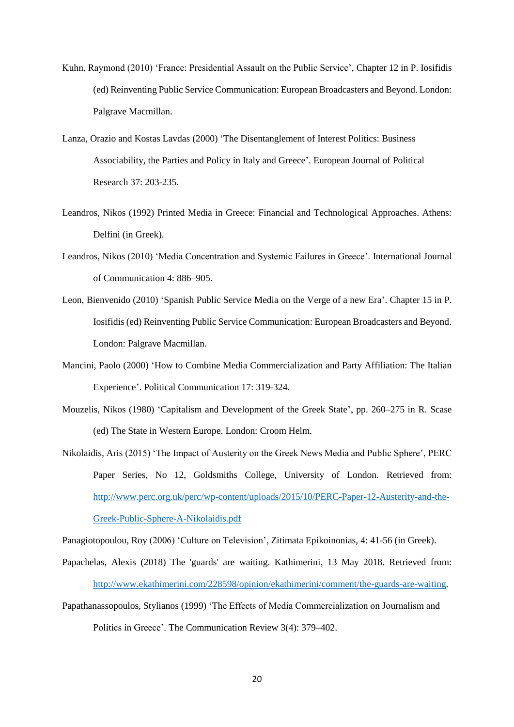- Kuhn, Raymond (2010) 'France: Presidential Assault on the Public Service', Chapter 12 in P. Iosifidis (ed) Reinventing Public Service Communication: European Broadcasters and Beyond. London: Palgrave Macmillan.
- Lanza, Orazio and Kostas Lavdas (2000) 'The Disentanglement of Interest Politics: Business Associability, the Parties and Policy in Italy and Greece'. European Journal of Political Research 37: 203-235.
- Leandros, Nikos (1992) Printed Media in Greece: Financial and Technological Approaches. Athens: Delfini (in Greek).
- Leandros, Nikos (2010) 'Media Concentration and Systemic Failures in Greece'. International Journal of Communication 4: 886–905.
- Leon, Bienvenido (2010) 'Spanish Public Service Media on the Verge of a new Era'. Chapter 15 in P. Iosifidis (ed) Reinventing Public Service Communication: European Broadcasters and Beyond. London: Palgrave Macmillan.
- Mancini, Paolo (2000) 'How to Combine Media Commercialization and Party Affiliation: The Italian Experience'. Political Communication 17: 319-324.
- Mouzelis, Nikos (1980) 'Capitalism and Development of the Greek State', pp. 260–275 in R. Scase (ed) The State in Western Europe. London: Croom Helm.
- Nikolaidis, Aris (2015) 'The Impact of Austerity on the Greek News Media and Public Sphere', PERC Paper Series, No 12, Goldsmiths College, University of London. Retrieved from: [http://www.perc.org.uk/perc/wp-content/uploads/2015/10/PERC-Paper-12-Austerity-and-the-](http://www.perc.org.uk/perc/wp-content/uploads/2015/10/PERC-Paper-12-Austerity-and-the-Greek-Public-Sphere-A-Nikolaidis.pdf)[Greek-Public-Sphere-A-Nikolaidis.pdf](http://www.perc.org.uk/perc/wp-content/uploads/2015/10/PERC-Paper-12-Austerity-and-the-Greek-Public-Sphere-A-Nikolaidis.pdf)

Panagiotopoulou, Roy (2006) 'Culture on Television', Zitimata Epikoinonias, 4: 41-56 (in Greek).

- Papachelas, Alexis (2018) The 'guards' are waiting. Kathimerini*,* 13 May 2018. Retrieved from: [http://www.ekathimerini.com/228598/opinion/ekathimerini/comment/the-guards-are-waiting.](http://www.ekathimerini.com/228598/opinion/ekathimerini/comment/the-guards-are-waiting)
- Papathanassopoulos, Stylianos (1999) 'The Effects of Media Commercialization on Journalism and Politics in Greece'. The Communication Review 3(4): 379–402.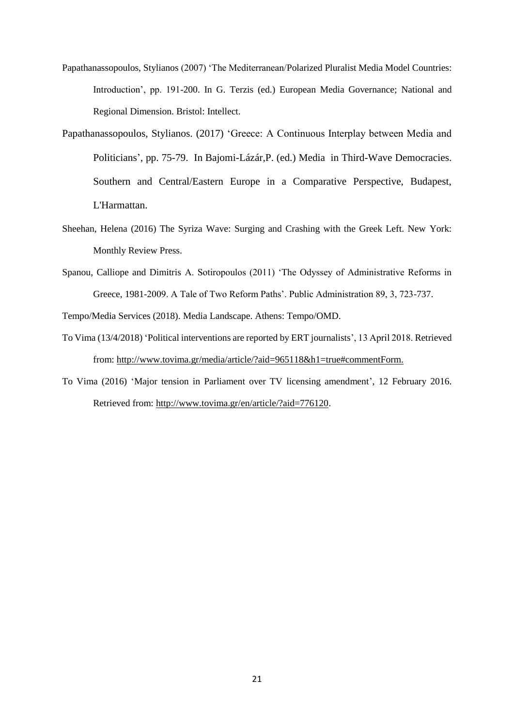- Papathanassopoulos, Stylianos (2007) 'The Mediterranean/Polarized Pluralist Media Model Countries: Introduction', pp. 191-200. In G. Terzis (ed.) European Media Governance; National and Regional Dimension. Bristol: Intellect.
- Papathanassopoulos, Stylianos. (2017) 'Greece: A Continuous Interplay between Media and Politicians', pp. 75-79. In Bajomi-Lázár,P. (ed.) Media in Third-Wave Democracies. Southern and Central/Eastern Europe in a Comparative Perspective, Budapest, L'Harmattan.
- Sheehan, Helena (2016) The Syriza Wave: Surging and Crashing with the Greek Left. New York: Monthly Review Press.
- Spanou, Calliope and Dimitris A. Sotiropoulos (2011) 'The Odyssey of Administrative Reforms in Greece, 1981-2009. A Tale of Two Reform Paths'. Public Administration 89, 3, 723-737.

Tempo/Media Services (2018). Media Landscape. Athens: Tempo/OMD.

- To Vima (13/4/2018) 'Political interventions are reported by ERT journalists', 13 April 2018. Retrieved from: [http://www.tovima.gr/media/article/?aid=965118&h1=true#commentForm.](http://www.tovima.gr/media/article/?aid=965118&h1=true#commentForm)
- To Vima (2016) 'Major tension in Parliament over TV licensing amendment', 12 February 2016. Retrieved from: [http://www.tovima.gr/en/article/?aid=776120.](http://www.tovima.gr/en/article/?aid=776120)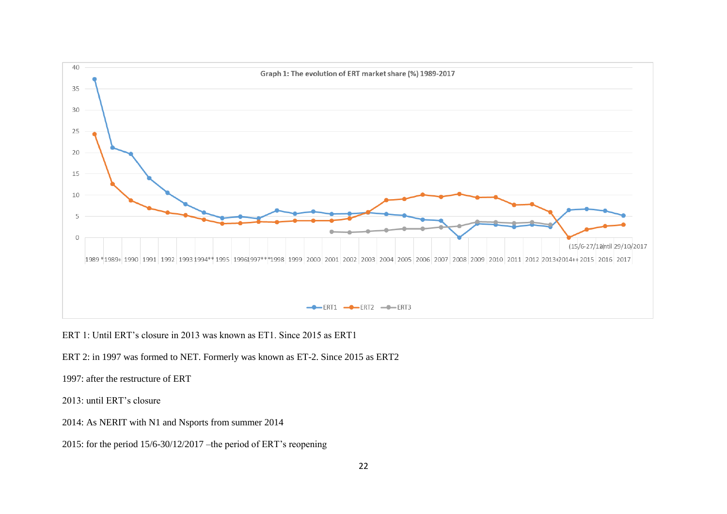

ERT 1: Until ERT's closure in 2013 was known as ET1. Since 2015 as ERT1

ERT 2: in 1997 was formed to NET. Formerly was known as ET-2. Since 2015 as ERT2

1997: after the restructure of ERT

2013: until ERT's closure

2014: As NERIT with N1 and Nsports from summer 2014

2015: for the period 15/6-30/12/2017 –the period of ERT's reopening